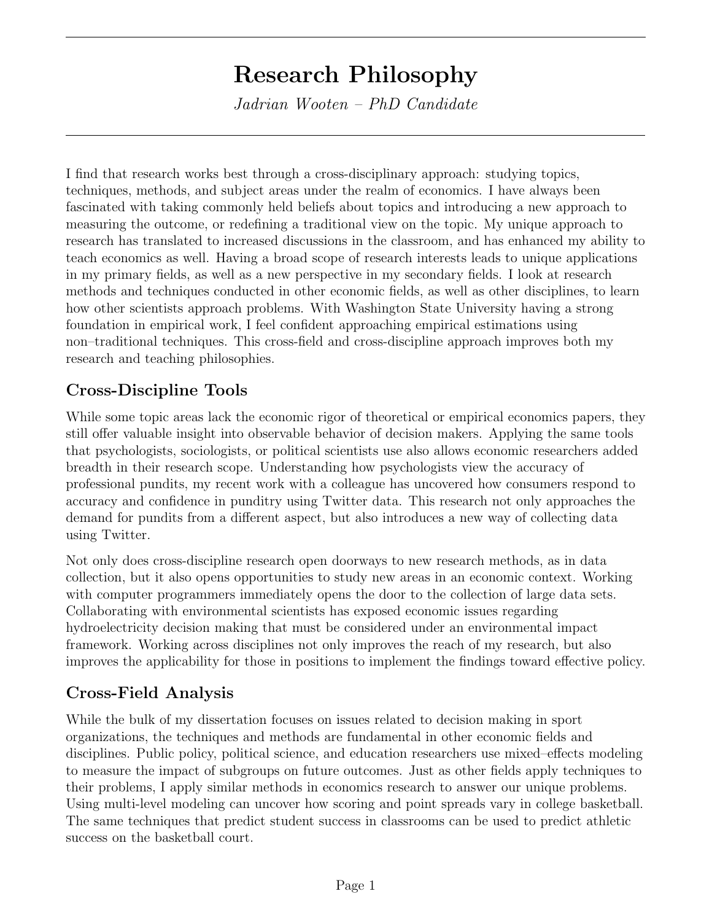## Research Philosophy

Jadrian Wooten – PhD Candidate

I find that research works best through a cross-disciplinary approach: studying topics, techniques, methods, and subject areas under the realm of economics. I have always been fascinated with taking commonly held beliefs about topics and introducing a new approach to measuring the outcome, or redefining a traditional view on the topic. My unique approach to research has translated to increased discussions in the classroom, and has enhanced my ability to teach economics as well. Having a broad scope of research interests leads to unique applications in my primary fields, as well as a new perspective in my secondary fields. I look at research methods and techniques conducted in other economic fields, as well as other disciplines, to learn how other scientists approach problems. With Washington State University having a strong foundation in empirical work, I feel confident approaching empirical estimations using non–traditional techniques. This cross-field and cross-discipline approach improves both my research and teaching philosophies.

## Cross-Discipline Tools

While some topic areas lack the economic rigor of theoretical or empirical economics papers, they still offer valuable insight into observable behavior of decision makers. Applying the same tools that psychologists, sociologists, or political scientists use also allows economic researchers added breadth in their research scope. Understanding how psychologists view the accuracy of professional pundits, my recent work with a colleague has uncovered how consumers respond to accuracy and confidence in punditry using Twitter data. This research not only approaches the demand for pundits from a different aspect, but also introduces a new way of collecting data using Twitter.

Not only does cross-discipline research open doorways to new research methods, as in data collection, but it also opens opportunities to study new areas in an economic context. Working with computer programmers immediately opens the door to the collection of large data sets. Collaborating with environmental scientists has exposed economic issues regarding hydroelectricity decision making that must be considered under an environmental impact framework. Working across disciplines not only improves the reach of my research, but also improves the applicability for those in positions to implement the findings toward effective policy.

## Cross-Field Analysis

While the bulk of my dissertation focuses on issues related to decision making in sport organizations, the techniques and methods are fundamental in other economic fields and disciplines. Public policy, political science, and education researchers use mixed–effects modeling to measure the impact of subgroups on future outcomes. Just as other fields apply techniques to their problems, I apply similar methods in economics research to answer our unique problems. Using multi-level modeling can uncover how scoring and point spreads vary in college basketball. The same techniques that predict student success in classrooms can be used to predict athletic success on the basketball court.